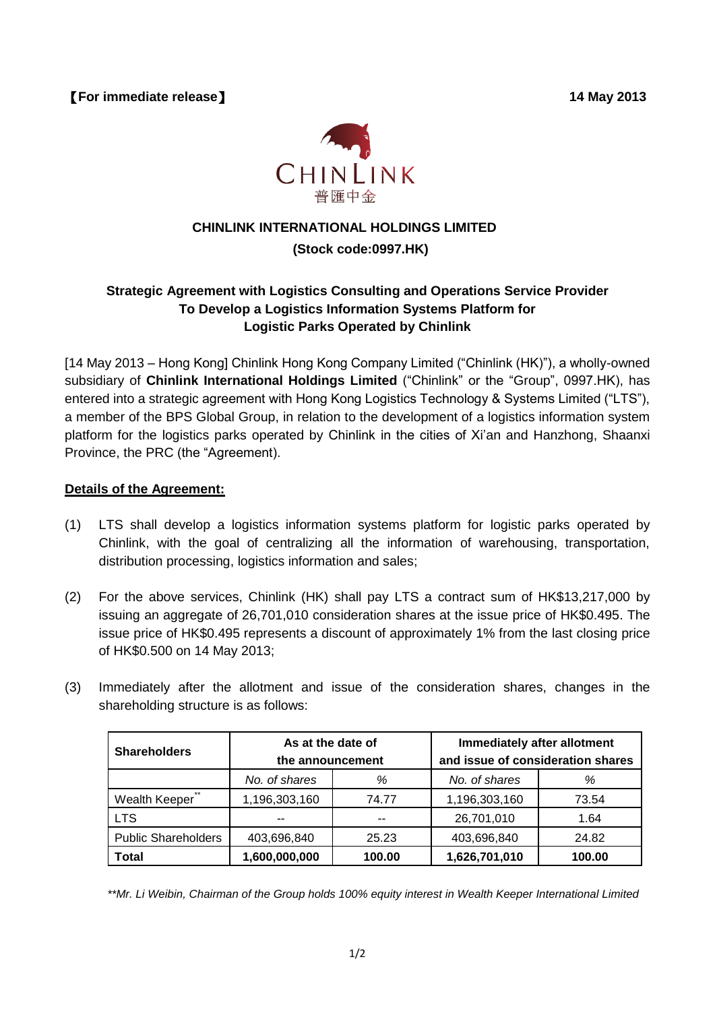【**For immediate release**】 **14 May 2013**



# **CHINLINK INTERNATIONAL HOLDINGS LIMITED**

## **(Stock code:0997.HK)**

### **Strategic Agreement with Logistics Consulting and Operations Service Provider To Develop a Logistics Information Systems Platform for Logistic Parks Operated by Chinlink**

[14 May 2013 – Hong Kong] Chinlink Hong Kong Company Limited ("Chinlink (HK)"), a wholly-owned subsidiary of **Chinlink International Holdings Limited** ("Chinlink" or the "Group", 0997.HK), has entered into a strategic agreement with Hong Kong Logistics Technology & Systems Limited ("LTS"), a member of the BPS Global Group, in relation to the development of a logistics information system platform for the logistics parks operated by Chinlink in the cities of Xi'an and Hanzhong, Shaanxi Province, the PRC (the "Agreement).

#### **Details of the Agreement:**

- (1) LTS shall develop a logistics information systems platform for logistic parks operated by Chinlink, with the goal of centralizing all the information of warehousing, transportation, distribution processing, logistics information and sales;
- (2) For the above services, Chinlink (HK) shall pay LTS a contract sum of HK\$13,217,000 by issuing an aggregate of 26,701,010 consideration shares at the issue price of HK\$0.495. The issue price of HK\$0.495 represents a discount of approximately 1% from the last closing price of HK\$0.500 on 14 May 2013;
- (3) Immediately after the allotment and issue of the consideration shares, changes in the shareholding structure is as follows:

| <b>Shareholders</b>        | As at the date of |        | Immediately after allotment       |        |
|----------------------------|-------------------|--------|-----------------------------------|--------|
|                            | the announcement  |        | and issue of consideration shares |        |
|                            | No. of shares     | %      | No. of shares                     | ℅      |
| $***$<br>Wealth Keeper     | 1,196,303,160     | 74.77  | 1,196,303,160                     | 73.54  |
| <b>LTS</b>                 | --                | --     | 26,701,010                        | 1.64   |
| <b>Public Shareholders</b> | 403,696,840       | 25.23  | 403,696,840                       | 24.82  |
| <b>Total</b>               | 1,600,000,000     | 100.00 | 1,626,701,010                     | 100.00 |

*\*\*Mr. Li Weibin, Chairman of the Group holds 100% equity interest in Wealth Keeper International Limited*